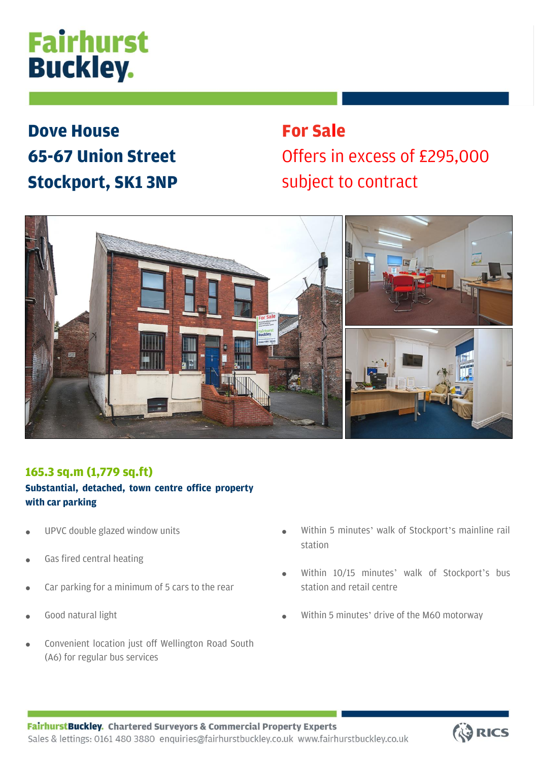# **Fairhurst Buckley.**

## **Dove House 65-67 Union Street Stockport, SK1 3NP**

## **For Sale**  Offers in excess of £295,000 subject to contract



### **165.3 sq.m (1,779 sq.ft)**

### **Substantial, detached, town centre office property with car parking**

- UPVC double glazed window units
- Gas fired central heating
- Car parking for a minimum of 5 cars to the rear
- Good natural light
- Convenient location just off Wellington Road South (A6) for regular bus services
- Within 5 minutes' walk of Stockport's mainline rail station
- Within 10/15 minutes' walk of Stockport's bus station and retail centre
- Within 5 minutes' drive of the M60 motorway

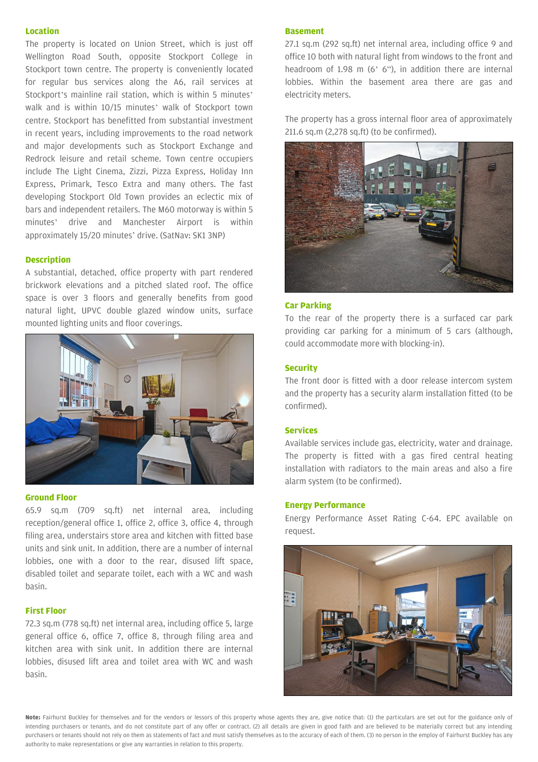#### **Location**

The property is located on Union Street, which is just off Wellington Road South, opposite Stockport College in Stockport town centre. The property is conveniently located for regular bus services along the A6, rail services at Stockport's mainline rail station, which is within 5 minutes' walk and is within 10/15 minutes' walk of Stockport town centre. Stockport has benefitted from substantial investment in recent years, including improvements to the road network and major developments such as Stockport Exchange and Redrock leisure and retail scheme. Town centre occupiers include The Light Cinema, Zizzi, Pizza Express, Holiday Inn Express, Primark, Tesco Extra and many others. The fast developing Stockport Old Town provides an eclectic mix of bars and independent retailers. The M60 motorway is within 5 minutes' drive and Manchester Airport is within approximately 15/20 minutes' drive. (SatNav: SK1 3NP)

#### **Description**

A substantial, detached, office property with part rendered brickwork elevations and a pitched slated roof. The office space is over 3 floors and generally benefits from good natural light, UPVC double glazed window units, surface mounted lighting units and floor coverings.



#### **Ground Floor**

65.9 sq.m (709 sq.ft) net internal area, including reception/general office 1, office 2, office 3, office 4, through filing area, understairs store area and kitchen with fitted base units and sink unit. In addition, there are a number of internal lobbies, one with a door to the rear, disused lift space, disabled toilet and separate toilet, each with a WC and wash basin.

#### **First Floor**

72.3 sq.m (778 sq.ft) net internal area, including office 5, large general office 6, office 7, office 8, through filing area and kitchen area with sink unit. In addition there are internal lobbies, disused lift area and toilet area with WC and wash basin.

#### **Basement**

27.1 sq.m (292 sq.ft) net internal area, including office 9 and office 10 both with natural light from windows to the front and headroom of 1.98 m (6' 6"), in addition there are internal lobbies. Within the basement area there are gas and electricity meters.

The property has a gross internal floor area of approximately 211.6 sq.m (2,278 sq.ft) (to be confirmed).



#### **Car Parking**

To the rear of the property there is a surfaced car park providing car parking for a minimum of 5 cars (although, could accommodate more with blocking-in).

#### **Security**

The front door is fitted with a door release intercom system and the property has a security alarm installation fitted (to be confirmed).

#### **Services**

Available services include gas, electricity, water and drainage. The property is fitted with a gas fired central heating installation with radiators to the main areas and also a fire alarm system (to be confirmed).

#### **Energy Performance**

Energy Performance Asset Rating C-64. EPC available on request.



**Note:** Fairhurst Buckley for themselves and for the vendors or lessors of this property whose agents they are, give notice that: (1) the particulars are set out for the guidance only of intending purchasers or tenants, and do not constitute part of any offer or contract. (2) all details are given in good faith and are believed to be materially correct but any intending purchasers or tenants should not rely on them as statements of fact and must satisfy themselves as to the accuracy of each of them. (3) no person in the employ of Fairhurst Buckley has any authority to make representations or give any warranties in relation to this property.